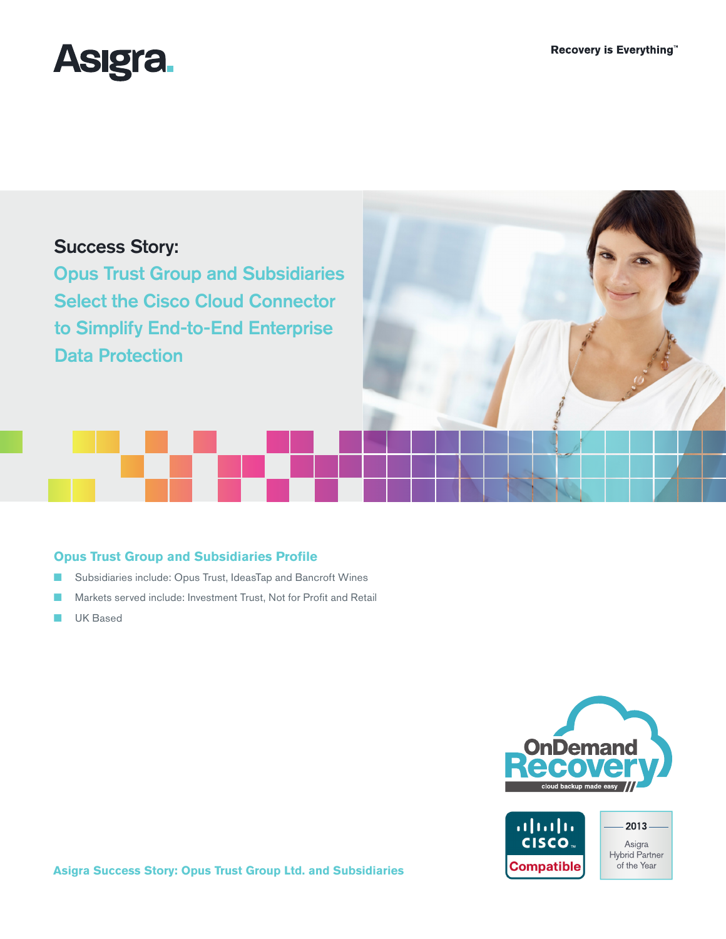

# Success Story:

Opus Trust Group and Subsidiaries Select the Cisco Cloud Connector to Simplify End-to-End Enterprise Data Protection

## **Opus Trust Group and Subsidiaries Profile**

- Subsidiaries include: Opus Trust, IdeasTap and Bancroft Wines
- Markets served include: Investment Trust, Not for Profit and Retail
- UK Based



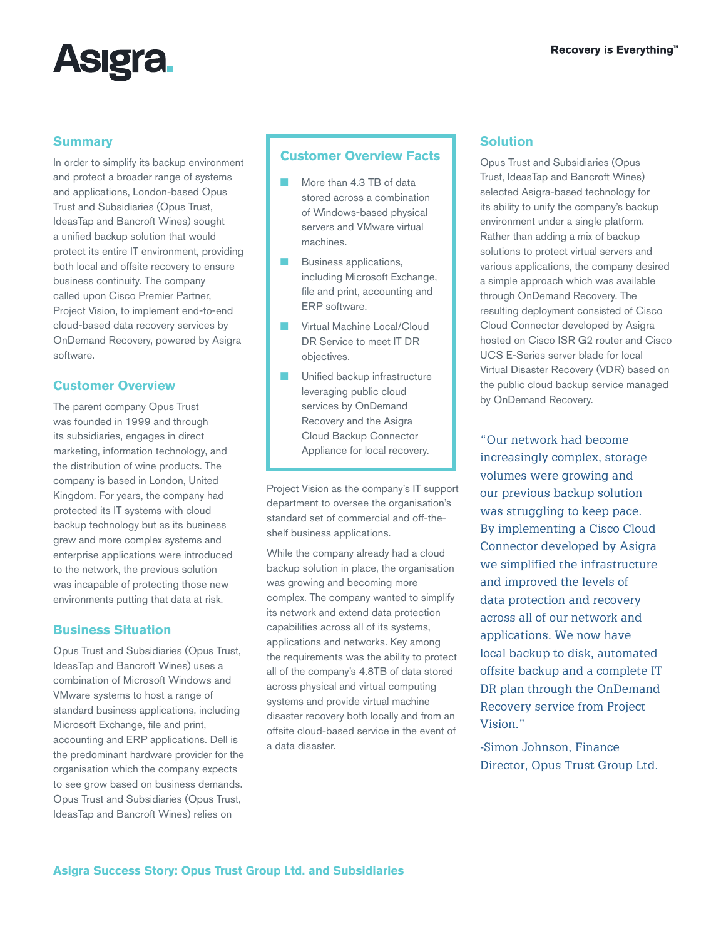

#### **Summary**

In order to simplify its backup environment and protect a broader range of systems and applications, London-based Opus Trust and Subsidiaries (Opus Trust, IdeasTap and Bancroft Wines) sought a unified backup solution that would protect its entire IT environment, providing both local and offsite recovery to ensure business continuity. The company called upon Cisco Premier Partner, Project Vision, to implement end-to-end cloud-based data recovery services by OnDemand Recovery, powered by Asigra software.

#### **Customer Overview**

The parent company Opus Trust was founded in 1999 and through its subsidiaries, engages in direct marketing, information technology, and the distribution of wine products. The company is based in London, United Kingdom. For years, the company had protected its IT systems with cloud backup technology but as its business grew and more complex systems and enterprise applications were introduced to the network, the previous solution was incapable of protecting those new environments putting that data at risk.

### **Business Situation**

Opus Trust and Subsidiaries (Opus Trust, IdeasTap and Bancroft Wines) uses a combination of Microsoft Windows and VMware systems to host a range of standard business applications, including Microsoft Exchange, file and print, accounting and ERP applications. Dell is the predominant hardware provider for the organisation which the company expects to see grow based on business demands. Opus Trust and Subsidiaries (Opus Trust, IdeasTap and Bancroft Wines) relies on

#### **Customer Overview Facts**

- More than 4.3 TB of data stored across a combination of Windows-based physical servers and VMware virtual machines.
- **Business applications,** including Microsoft Exchange, file and print, accounting and ERP software.
- Virtual Machine Local/Cloud DR Service to meet IT DR objectives.
- Unified backup infrastructure leveraging public cloud services by OnDemand Recovery and the Asigra Cloud Backup Connector Appliance for local recovery.

Project Vision as the company's IT support department to oversee the organisation's standard set of commercial and off-theshelf business applications.

While the company already had a cloud backup solution in place, the organisation was growing and becoming more complex. The company wanted to simplify its network and extend data protection capabilities across all of its systems, applications and networks. Key among the requirements was the ability to protect all of the company's 4.8TB of data stored across physical and virtual computing systems and provide virtual machine disaster recovery both locally and from an offsite cloud-based service in the event of a data disaster.

#### **Solution**

Opus Trust and Subsidiaries (Opus Trust, IdeasTap and Bancroft Wines) selected Asigra-based technology for its ability to unify the company's backup environment under a single platform. Rather than adding a mix of backup solutions to protect virtual servers and various applications, the company desired a simple approach which was available through OnDemand Recovery. The resulting deployment consisted of Cisco Cloud Connector developed by Asigra hosted on Cisco ISR G2 router and Cisco UCS E-Series server blade for local Virtual Disaster Recovery (VDR) based on the public cloud backup service managed by OnDemand Recovery.

"Our network had become increasingly complex, storage volumes were growing and our previous backup solution was struggling to keep pace. By implementing a Cisco Cloud Connector developed by Asigra we simplified the infrastructure and improved the levels of data protection and recovery across all of our network and applications. We now have local backup to disk, automated offsite backup and a complete IT DR plan through the OnDemand Recovery service from Project Vision."

-Simon Johnson, Finance Director, Opus Trust Group Ltd.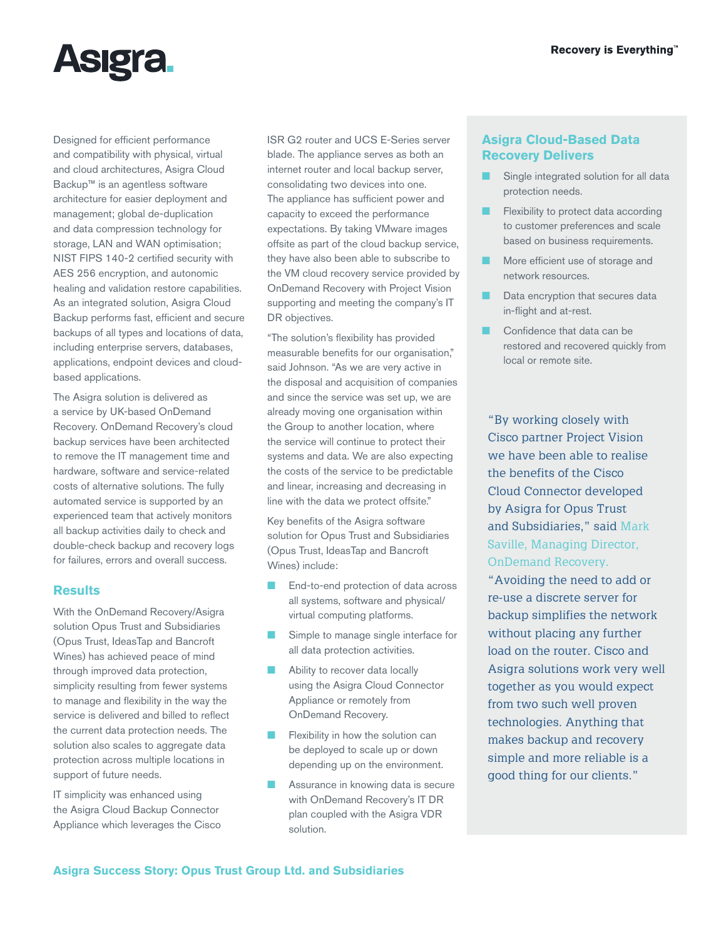

Designed for efficient performance and compatibility with physical, virtual and cloud architectures, Asigra Cloud Backup™ is an agentless software architecture for easier deployment and management; global de-duplication and data compression technology for storage, LAN and WAN optimisation; NIST FIPS 140-2 certified security with AES 256 encryption, and autonomic healing and validation restore capabilities. As an integrated solution, Asigra Cloud Backup performs fast, efficient and secure backups of all types and locations of data, including enterprise servers, databases, applications, endpoint devices and cloudbased applications.

The Asigra solution is delivered as a service by UK-based OnDemand Recovery. OnDemand Recovery's cloud backup services have been architected to remove the IT management time and hardware, software and service-related costs of alternative solutions. The fully automated service is supported by an experienced team that actively monitors all backup activities daily to check and double-check backup and recovery logs for failures, errors and overall success.

### **Results**

With the OnDemand Recovery/Asigra solution Opus Trust and Subsidiaries (Opus Trust, IdeasTap and Bancroft Wines) has achieved peace of mind through improved data protection, simplicity resulting from fewer systems to manage and flexibility in the way the service is delivered and billed to reflect the current data protection needs. The solution also scales to aggregate data protection across multiple locations in support of future needs.

IT simplicity was enhanced using the Asigra Cloud Backup Connector Appliance which leverages the Cisco ISR G2 router and UCS E-Series server blade. The appliance serves as both an internet router and local backup server, consolidating two devices into one. The appliance has sufficient power and capacity to exceed the performance expectations. By taking VMware images offsite as part of the cloud backup service, they have also been able to subscribe to the VM cloud recovery service provided by OnDemand Recovery with Project Vision supporting and meeting the company's IT DR objectives.

"The solution's flexibility has provided measurable benefits for our organisation," said Johnson. "As we are very active in the disposal and acquisition of companies and since the service was set up, we are already moving one organisation within the Group to another location, where the service will continue to protect their systems and data. We are also expecting the costs of the service to be predictable and linear, increasing and decreasing in line with the data we protect offsite."

Key benefits of the Asigra software solution for Opus Trust and Subsidiaries (Opus Trust, IdeasTap and Bancroft Wines) include:

- End-to-end protection of data across all systems, software and physical/ virtual computing platforms.
- Simple to manage single interface for all data protection activities.
- Ability to recover data locally using the Asigra Cloud Connector Appliance or remotely from OnDemand Recovery.
- Flexibility in how the solution can be deployed to scale up or down depending up on the environment.
- Assurance in knowing data is secure with OnDemand Recovery's IT DR plan coupled with the Asigra VDR solution.

### **Asigra Cloud-Based Data Recovery Delivers**

- Single integrated solution for all data protection needs.
- Flexibility to protect data according to customer preferences and scale based on business requirements.
- More efficient use of storage and network resources.
- Data encryption that secures data in-flight and at-rest.
- Confidence that data can be restored and recovered quickly from local or remote site.

"By working closely with Cisco partner Project Vision we have been able to realise the benefits of the Cisco Cloud Connector developed by Asigra for Opus Trust and Subsidiaries," said Mark Saville, Managing Director, OnDemand Recovery.

"Avoiding the need to add or re-use a discrete server for backup simplifies the network without placing any further load on the router. Cisco and Asigra solutions work very well together as you would expect from two such well proven technologies. Anything that makes backup and recovery simple and more reliable is a good thing for our clients."